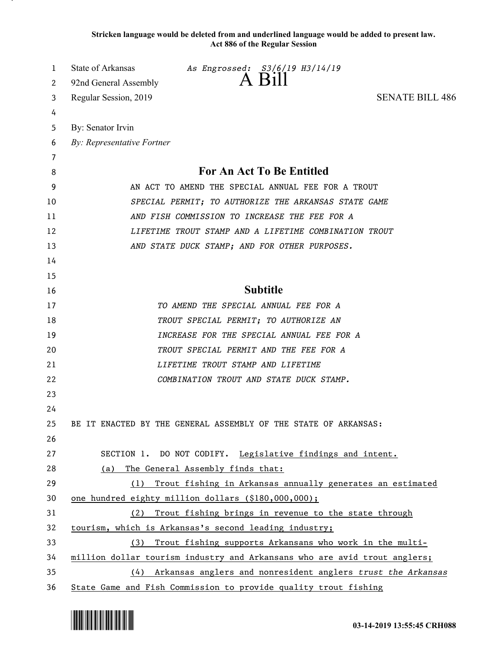**Stricken language would be deleted from and underlined language would be added to present law. Act 886 of the Regular Session**

| 1<br>2 | State of Arkansas<br>As Engrossed: S3/6/19 H3/14/19<br>92nd General Assembly |
|--------|------------------------------------------------------------------------------|
|        | <b>SENATE BILL 486</b>                                                       |
| 3      | Regular Session, 2019                                                        |
| 4      |                                                                              |
| 5      | By: Senator Irvin                                                            |
| 6      | By: Representative Fortner                                                   |
| 7<br>8 | For An Act To Be Entitled                                                    |
| 9      | AN ACT TO AMEND THE SPECIAL ANNUAL FEE FOR A TROUT                           |
| 10     | SPECIAL PERMIT; TO AUTHORIZE THE ARKANSAS STATE GAME                         |
| 11     | AND FISH COMMISSION TO INCREASE THE FEE FOR A                                |
| 12     | LIFETIME TROUT STAMP AND A LIFETIME COMBINATION TROUT                        |
| 13     | AND STATE DUCK STAMP; AND FOR OTHER PURPOSES.                                |
| 14     |                                                                              |
| 15     |                                                                              |
| 16     | <b>Subtitle</b>                                                              |
| 17     | TO AMEND THE SPECIAL ANNUAL FEE FOR A                                        |
| 18     | TROUT SPECIAL PERMIT; TO AUTHORIZE AN                                        |
| 19     | INCREASE FOR THE SPECIAL ANNUAL FEE FOR A                                    |
| 20     | TROUT SPECIAL PERMIT AND THE FEE FOR A                                       |
| 21     | LIFETIME TROUT STAMP AND LIFETIME                                            |
| 22     | COMBINATION TROUT AND STATE DUCK STAMP.                                      |
| 23     |                                                                              |
| 24     |                                                                              |
| 25     | BE IT ENACTED BY THE GENERAL ASSEMBLY OF THE STATE OF ARKANSAS:              |
| 26     |                                                                              |
| 27     | SECTION 1. DO NOT CODIFY. Legislative findings and intent.                   |
| 28     | The General Assembly finds that:<br>(a)                                      |
| 29     | (1) Trout fishing in Arkansas annually generates an estimated                |
| 30     | one hundred eighty million dollars (\$180,000,000);                          |
| 31     | (2) Trout fishing brings in revenue to the state through                     |
| 32     | tourism, which is Arkansas's second leading industry;                        |
| 33     | (3) Trout fishing supports Arkansans who work in the multi-                  |
| 34     | million dollar tourism industry and Arkansans who are avid trout anglers;    |
| 35     | (4) Arkansas anglers and nonresident anglers trust the Arkansas              |
| 36     | State Game and Fish Commission to provide quality trout fishing              |

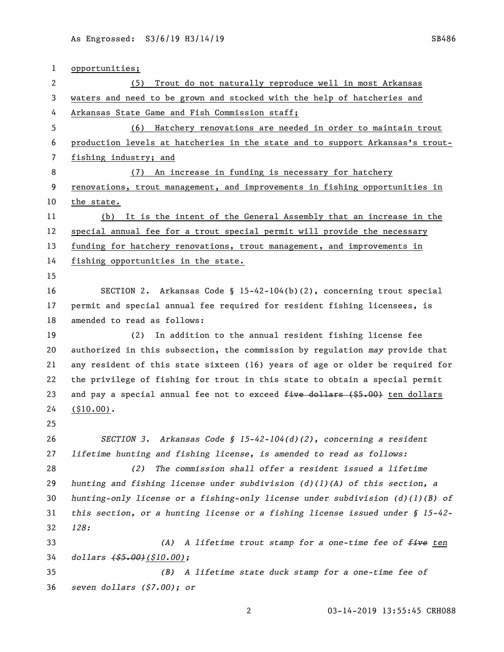| 1  | opportunities;                                                                   |
|----|----------------------------------------------------------------------------------|
| 2  | Trout do not naturally reproduce well in most Arkansas<br>(5)                    |
| 3  | waters and need to be grown and stocked with the help of hatcheries and          |
| 4  | Arkansas State Game and Fish Commission staff;                                   |
| 5  | Hatchery renovations are needed in order to maintain trout<br>(6)                |
| 6  | production levels at hatcheries in the state and to support Arkansas's trout-    |
| 7  | fishing industry; and                                                            |
| 8  | An increase in funding is necessary for hatchery<br>(7)                          |
| 9  | renovations, trout management, and improvements in fishing opportunities in      |
| 10 | the state.                                                                       |
| 11 | (b) It is the intent of the General Assembly that an increase in the             |
| 12 | special annual fee for a trout special permit will provide the necessary         |
| 13 | funding for hatchery renovations, trout management, and improvements in          |
| 14 | fishing opportunities in the state.                                              |
| 15 |                                                                                  |
| 16 | SECTION 2. Arkansas Code § 15-42-104(b)(2), concerning trout special             |
| 17 | permit and special annual fee required for resident fishing licensees, is        |
| 18 | amended to read as follows:                                                      |
| 19 | (2)<br>In addition to the annual resident fishing license fee                    |
| 20 | authorized in this subsection, the commission by regulation may provide that     |
| 21 | any resident of this state sixteen (16) years of age or older be required for    |
| 22 | the privilege of fishing for trout in this state to obtain a special permit      |
| 23 | and pay a special annual fee not to exceed five dollars (\$5.00) ten dollars     |
| 24 | $( $10.00)$ .                                                                    |
| 25 |                                                                                  |
| 26 | Arkansas Code § 15-42-104(d)(2), concerning a resident<br>SECTION 3.             |
| 27 | lifetime hunting and fishing license, is amended to read as follows:             |
| 28 | The commission shall offer a resident issued a lifetime<br>(2)                   |
| 29 | hunting and fishing license under subdivision $(d)$ (1)(A) of this section, a    |
| 30 | hunting-only license or a fishing-only license under subdivision $(d)$ (1)(B) of |
| 31 | this section, or a hunting license or a fishing license issued under $\S$ 15-42- |
| 32 | 128:                                                                             |
| 33 | A lifetime trout stamp for a one-time fee of five ten<br>(A)                     |
| 34 | $dollars$ $($ \$5.00 $)$ $($ \$10.00 $)$ ;                                       |
| 35 | A lifetime state duck stamp for a one-time fee of<br>(B)                         |
| 36 | seven dollars (\$7.00); or                                                       |